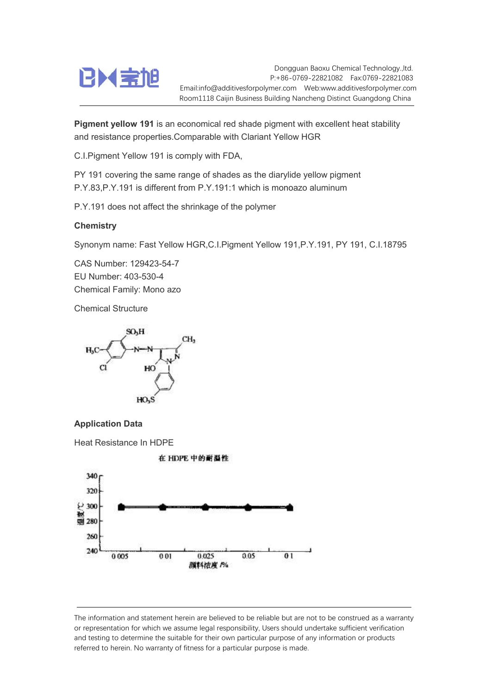

Dongguan Baoxu Chemical Technology.,ltd. P:+86-0769-22821082 Fax:0769-22821083 Email:info@additivesforpolymer.com Web:www.additivesforpolymer.com Room1118 Caijin Business Building Nancheng Distinct Guangdong China

Pigment vellow 191 is an economical red shade pigment with excellent heat stability and resistance properties.Comparable with Clariant Yellow HGR

C.I.Pigment Yellow 191 is comply with FDA,

PY 191 covering the same range of shades as the diarylide yellow pigment P.Y.83,P.Y.191 is different from P.Y.191:1 which is monoazo aluminum

P.Y.191 does not affect the shrinkage of the polymer

## **Chemistry**

Synonym name: Fast Yellow HGR,C.I.Pigment Yellow 191,P.Y.191, PY 191, C.I.18795

CAS Number: 129423-54-7 EU Number: 403-530-4 Chemical Family: Mono azo

Chemical Structure





Heat Resistance In HDPE



The information and statement herein are believed to be reliable but are not to be construed as a warranty or representation for which we assume legal responsibility, Users should undertake sufficient verification and testing to determine the suitable for their own particular purpose of any information or products referred to herein. No warranty of fitness for a particular purpose is made.